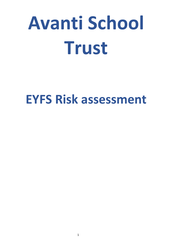# **Avanti School Trust**

# **EYFS Risk assessment**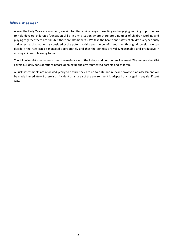#### **Why risk assess?**

Across the Early Years environment, we aim to offer a wide range of exciting and engaging learning opportunities to help develop children's foundation skills. In any situation where there are a number of children working and playing together there are risks but there are also benefits. We take the health and safety of children very seriously and assess each situation by considering the potential risks and the benefits and then through discussion we can decide if the risks can be managed appropriately and that the benefits are valid, reasonable and productive in moving children's learning forward.

The following risk assessments cover the main areas of the indoor and outdoor environment. The general checklist covers our daily considerations before opening up the environment to parents and children.

All risk assessments are reviewed yearly to ensure they are up-to-date and relevant however, an assessment will be made immediately if there is an incident or an area of the environment is adapted or changed in any significant way.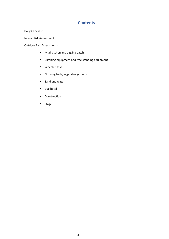#### **Contents**

Daily Checklist

Indoor Risk Assessment

Outdoor Risk Assessments:

- Mud kitchen and digging patch
- Climbing equipment and free standing equipment
- Wheeled toys
- Growing beds/vegetable gardens
- Sand and water
- Bug hotel
- Construction
- Stage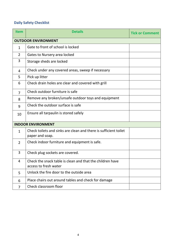## **Daily Safety Checklist**

| <b>Item</b>    | <b>Details</b>                                                                      | <b>Tick or Comment</b> |
|----------------|-------------------------------------------------------------------------------------|------------------------|
|                | <b>OUTDOOR ENVIRONMENT</b>                                                          |                        |
| $\mathbf{1}$   | Gate to front of school is locked                                                   |                        |
| $\overline{2}$ | Gates to Nursery area locked                                                        |                        |
| 3              | Storage sheds are locked                                                            |                        |
| 4              | Check under any covered areas, sweep if necessary                                   |                        |
| 5              | Pick up litter                                                                      |                        |
| 6              | Check drain holes are clear and covered with grill                                  |                        |
| $\overline{7}$ | Check outdoor furniture is safe                                                     |                        |
| 8              | Remove any broken/unsafe outdoor toys and equipment                                 |                        |
| 9              | Check the outdoor surface is safe                                                   |                        |
| 10             | Ensure all tarpaulin is stored safely                                               |                        |
|                | <b>INDOOR ENVIRONMENT</b>                                                           |                        |
| $\mathbf{1}$   | Check toilets and sinks are clean and there is sufficient toilet<br>paper and soap. |                        |
| $\overline{2}$ | Check indoor furniture and equipment is safe.                                       |                        |
| 3              | Check plug sockets are covered.                                                     |                        |
| 4              | Check the snack table is clean and that the children have<br>access to fresh water  |                        |
| 5              | Unlock the fire door to the outside area                                            |                        |
| 6              | Place chairs out around tables and check for damage                                 |                        |
| $\overline{7}$ | Check classroom floor                                                               |                        |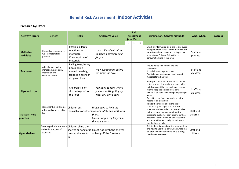# **Benefit Risk Assessment: Indoor Activities**

|                                       |                                                                                        |                                                                                               |                                                                                                                                                |   | <b>Risk</b>       |   |                                                                                                                                                                                                                                                                                                                                            |                       |                                     |          |                 |
|---------------------------------------|----------------------------------------------------------------------------------------|-----------------------------------------------------------------------------------------------|------------------------------------------------------------------------------------------------------------------------------------------------|---|-------------------|---|--------------------------------------------------------------------------------------------------------------------------------------------------------------------------------------------------------------------------------------------------------------------------------------------------------------------------------------------|-----------------------|-------------------------------------|----------|-----------------|
| <b>Activity/Hazard</b>                | <b>Benefit</b>                                                                         | <b>Risks</b>                                                                                  | <b>Children's voice</b>                                                                                                                        |   | <b>Assessment</b> |   | (use Matrix)                                                                                                                                                                                                                                                                                                                               |                       | <b>Elimination/ Control methods</b> | Who/When | <b>Progress</b> |
|                                       |                                                                                        |                                                                                               |                                                                                                                                                | L | C                 | R |                                                                                                                                                                                                                                                                                                                                            |                       |                                     |          |                 |
| <b>Malleable</b><br><b>activities</b> | Physical development as<br>well as motor skills<br>practice.                           | Possible allergic<br>reactions to<br>materials.<br>Consumption of<br>materials.               | I can roll and cut this up<br>to make a birthday cake<br>for you                                                                               |   |                   |   | Check all information on allergies and avoid<br>allergens. Make sure all other materials are<br>sensitive and are diluted according to the<br>instructions. Children follow the no<br>consumption rule in this area                                                                                                                        | Staff and<br>parents  |                                     |          |                 |
| <b>Toy boxes</b>                      | Add stimulus to play<br>increasing vocabulary,<br>interaction and<br>communication.    | Falling toys, heavy<br>boxes being<br>moved unsafely,<br>trapped fingers or<br>drops on toes. | We have to think before<br>we move the boxes                                                                                                   |   |                   |   | Ensure boxes and baskets are not<br>overloaded.<br>Provide low storage for boxes.<br>Adults to oversee manual handling and<br>model safe techniques.                                                                                                                                                                                       | Staff and<br>children |                                     |          |                 |
| <b>Slips and trips</b>                |                                                                                        | Children trip or<br>slip on toys left on<br>the floor                                         | You need to look where<br>you are walking, tidy up<br>what you don't need                                                                      |   |                   |   | Set expectations about how much can be<br>out at any one time and encourage children<br>to tidy up what they are no longer playing<br>with to keep the environment safe.<br>Any spills on floor to be mopped up straight<br>away.<br>Any objects on floor that could be a trip<br>hazard to be picked up.                                  | Staff and<br>children |                                     |          |                 |
| <b>Scissors, hole</b><br>punches      | Promotes the children's<br>motor skills and creative<br>play                           | Children cut                                                                                  | When need to hold the<br>themselves or others <i>scissors safely and walk with</i><br>them.<br>I must not put my fingers in<br>the hole punch. |   |                   |   | Talk to the children about the use of<br>scissors, e.g. for paper and card. The<br>scissors must be used to cut. Make it clear<br>to the children that you don't use the<br>scissors to cut hair or each other's clothes.<br>Model to the children how to use scissors<br>and walk with them safely. Model how to<br>use the hole punches. | Staff and<br>children |                                     |          |                 |
| <b>Open shelves</b>                   | <b>Encourage independence Children climb the</b><br>and self-selection of<br>resources | shelves or hang of it<br>causing shelves to<br>fall                                           | must not climb the shelves<br>or hang off the furniture                                                                                        |   |                   |   | Talk to the children about the open shelves<br>and how to use them safely. Encourage the<br>children to find an adult if a child is using<br>the shelves incorrectly.                                                                                                                                                                      | Staff and<br>children |                                     |          |                 |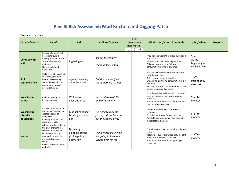# **Benefit Risk Assessment: Mud Kitchen and Digging Patch**

| <b>Activity/Hazard</b>                      | <b>Benefit</b>                                                                                                                                                                                               | <b>Risks</b>                                              | <b>Children's voice</b>                                                 | <b>Risk</b><br>Assessment<br>(use Matrix) |   | <b>Elimination/ Control methods</b>                                                                                                                                                                                                         | Who/When                                               | <b>Progress</b> |
|---------------------------------------------|--------------------------------------------------------------------------------------------------------------------------------------------------------------------------------------------------------------|-----------------------------------------------------------|-------------------------------------------------------------------------|-------------------------------------------|---|---------------------------------------------------------------------------------------------------------------------------------------------------------------------------------------------------------------------------------------------|--------------------------------------------------------|-----------------|
|                                             |                                                                                                                                                                                                              |                                                           |                                                                         | $\mathsf{C}$                              | R |                                                                                                                                                                                                                                             |                                                        |                 |
| <b>Contact with</b><br>soil                 | Exposure to beneficial<br>bacteria to build a<br>healthy immune system.<br>Sensorial open ended<br>materials.<br>Normal childhood<br>experience.                                                             | Ingesting soil                                            | It's fun to get dirty<br>The mud feels good                             |                                           |   | Provide hand washing facilities during and<br>after play<br>Establish good handwashing routines.<br>Children encouraged to follow a no<br>consumption routine in this area                                                                  | <b>Staff</b><br>At the<br>beginning of<br>each session |                 |
| <b>Soil</b><br>contamination                | Children can be involved<br>in checking the area<br>before play creating a<br>sense of ownership and<br>raising awareness of<br>potential hazards                                                            | Ingesting/absorbing<br>contaminated soil                  | Tell the teacher if we<br>see something strange                         |                                           |   | Soil should be checked for contaminants<br>daily, before play<br>This is part of the daily checklist<br>Children follow the no consumption rule in<br>this area<br>Not using manure or any chemicals on the<br>garden or surrounding areas. | Staff<br>Part of daily<br>checklist                    |                 |
| <b>Washing up</b><br>hands                  | Children learn good<br>hygiene practices                                                                                                                                                                     | Wet areas<br>Slips and trips                              | We need to wash the<br>mud off properly                                 |                                           |   | Provide washing facilities and at times of<br>extreme mud, provide rinsing facilities<br>outside.<br>Staff to monitor floor areas for water and<br>mop up when necessary.                                                                   | Staff to<br>monitor                                    |                 |
| <b>Washing up</b><br>utensils,<br>equipment | Involving the children in<br>the cleaning and tidying<br>creates a sense of<br>ownership<br>Can help with fine and<br>gross motor skills                                                                     | Manual handling<br>Moving pots and<br>pans                | We need to pick the<br>pots up off the floor and<br>put the spoons away |                                           |   | Ensure buckets and baskets are not<br>overloaded.<br>Provide low storage for pots and pans.<br>Adults to oversee manual handling and<br>model safe techniques.                                                                              | Staff to<br>monitor                                    |                 |
| Water                                       | Adds a new dimension to<br>the play, changing the<br>states of materials so<br>children can mix, tip,<br>pour and stir to create<br>potions, stews and<br>soups.<br>Covers aspects of maths,<br>and science. | Drowning<br>Flooding during<br>prolonged or<br>heavy rain | I have made a stew we<br>are going to have our<br>friends over for tea  |                                           |   | Containers provided do not allow children to<br>fall in.<br>Teachers to supervise where large troughs<br>are in use and do not fill deeply.<br>Staff to monitor area during prolonged<br>heavy rain                                         | Staff to<br>monitor                                    |                 |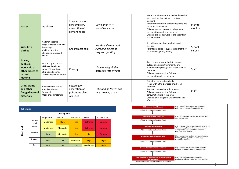| Water                                                                        | As above                                                                                                                  | Stagnant water,<br>consumption/<br>absorption of<br>contaminants | Don't drink it, it<br>would be yucky!                            | Water containers are emptied at the end of<br>each session/ day so they do not go<br>stagnant.<br>Water containers are emptied regularly and<br>check for contaminants.<br>Children are encouraged to follow a no<br>consumption routine in this area.<br>Children are made aware of the hazards of<br>stagnant water. | Staff to<br>monitor |  |
|------------------------------------------------------------------------------|---------------------------------------------------------------------------------------------------------------------------|------------------------------------------------------------------|------------------------------------------------------------------|------------------------------------------------------------------------------------------------------------------------------------------------------------------------------------------------------------------------------------------------------------------------------------------------------------------------|---------------------|--|
| Wet/dirty<br>clothes                                                         | Children become<br>responsible for their own<br>belongings<br>Children practice<br>changing clothes and<br>shoes          | Children get cold                                                | We should wear mud<br>suits and wellies so<br>they can get dirty | School has a supply of mud suits and<br>wellies.<br>Parents are asked to supply coats that they<br>do not mind getting muddy.                                                                                                                                                                                          | School<br>Parents   |  |
| Gravel,<br>pebbles,<br>woodchip or<br>other pieces of<br>natural<br>material | Fine and gross motor<br>skills are developed<br>when lifting, mixing,<br>stirring and pouring<br>The connection to nature | Choking                                                          | I love mixing all the<br>materials into my pot                   | Any children who are likely to explore<br>putting things into their mouths are<br>identified and given greater supervision in<br>this area<br>Children encouraged to follow a no<br>consumption rule in this area                                                                                                      | Staff               |  |
| <b>Using plants</b><br>and other<br>foraged natural<br>materials             | Connection to nature<br>Creative stimulus<br>Sensorial<br>Open ended materials                                            | Ingesting or<br>absorption of<br>poisonous plants<br>Allergies   | I like adding leaves and<br>twigs to my potion                   | Raise the risk of eating plants<br>Plants within the play area are chosen<br>carefully.<br>Adults to remove hazardous plants<br>Children encouraged to follow a no<br>consumption rule in this area.<br>Children encouraged to wash their hands<br>after play.                                                         | Staff               |  |

|            | <b>Risk Matrix</b> |               |             |             |                |              |  |  |  |  |  |  |
|------------|--------------------|---------------|-------------|-------------|----------------|--------------|--|--|--|--|--|--|
|            |                    |               | Consequence |             |                |              |  |  |  |  |  |  |
|            |                    | Insignificant | Minor       | Moderate    | Major          | Catastrophic |  |  |  |  |  |  |
|            | Almost<br>certain  | Moderate      | <b>High</b> | <b>High</b> | <b>Extreme</b> | Extreme      |  |  |  |  |  |  |
|            | Likely             | Moderate      | Moderate    | <b>High</b> | Extreme        | Extreme      |  |  |  |  |  |  |
| Likelihood | Possible           | Low           | Moderate    | <b>High</b> | <b>High</b>    | Extreme      |  |  |  |  |  |  |
|            | Unlikely           | Low           | Low         | Moderate    | <b>High</b>    | <b>High</b>  |  |  |  |  |  |  |
|            | Rare               | Low           | Low         | Low         | Moderate       | <b>High</b>  |  |  |  |  |  |  |

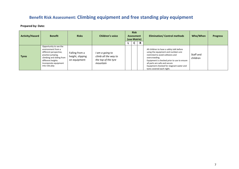# **Benefit Risk Assessment: Climbing equipment and free standing play equipment**

| <b>Activity/Hazard</b> | <b>Benefit</b>                                                                                                                                                                           | <b>Risks</b>                                       | <b>Children's voice</b>                                                    | <b>Risk</b><br><b>Assessment</b><br>(use Matrix) |   |   | <b>Elimination/ Control methods</b>                                                                                                                                                                                                                                                               | Who/When              | <b>Progress</b> |
|------------------------|------------------------------------------------------------------------------------------------------------------------------------------------------------------------------------------|----------------------------------------------------|----------------------------------------------------------------------------|--------------------------------------------------|---|---|---------------------------------------------------------------------------------------------------------------------------------------------------------------------------------------------------------------------------------------------------------------------------------------------------|-----------------------|-----------------|
|                        |                                                                                                                                                                                          |                                                    |                                                                            |                                                  | ັ | R |                                                                                                                                                                                                                                                                                                   |                       |                 |
| <b>Tyres</b>           | Opportunity to see the<br>environment from a<br>different perspective,<br>practice jumping,<br>climbing and sliding from<br>different heights<br>Incorporate equipment<br>into role play | Falling from a<br>height, slipping<br>on equipment | l am a going to<br>climb all the way to<br>the top of the tyre<br>mountain |                                                  |   |   | All children to have a safety talk before<br>using the equipment and numbers are<br>restricted to avoid collisions and<br>overcrowding.<br>Equipment is checked prior to use to ensure<br>all parts are safe and secure.<br>Equipment checked for stagnant water and<br>tyres covered each night. | Staff and<br>children |                 |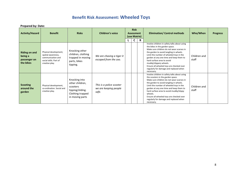# **Benefit Risk Assessment: Wheeled Toys**

| <b>Activity/Hazard</b>                                       | <b>Benefit</b>                                                                                               | <b>Risks</b>                                                                                            | <b>Children's voice</b>                                    |  | <b>Assessment</b><br>(use Matrix) |   | <b>Risk</b>                                                                                                                                                                                                                                                                                                                                                                                                               |                       |  |  | <b>Elimination/ Control methods</b> | Who/When | <b>Progress</b> |
|--------------------------------------------------------------|--------------------------------------------------------------------------------------------------------------|---------------------------------------------------------------------------------------------------------|------------------------------------------------------------|--|-----------------------------------|---|---------------------------------------------------------------------------------------------------------------------------------------------------------------------------------------------------------------------------------------------------------------------------------------------------------------------------------------------------------------------------------------------------------------------------|-----------------------|--|--|-------------------------------------|----------|-----------------|
|                                                              |                                                                                                              |                                                                                                         |                                                            |  | C                                 | R |                                                                                                                                                                                                                                                                                                                                                                                                                           |                       |  |  |                                     |          |                 |
| <b>Riding on and</b><br>being a<br>passenger on<br>the bikes | Physical development,<br>spatial awareness,<br>communication and<br>social skills. Part of<br>creative play. | Knocking other<br>children, clothing<br>trapped in moving<br>parts, bikes<br>tipping.                   | We are chasing a tiger it<br>escaped from the zoo.         |  |                                   |   | Involve children in safety talks about using<br>the bikes in the garden space.<br>Make sure children do not wear scarves in<br>the garden to avoid tangling in wheels.<br>Limit the number of wheeled toys in the<br>garden at any one time and keep them to<br>hard surface area to avoid<br>muddy/slippery wheels.<br>Ensure all wheeled toys are checked over<br>regularly for damage and replaced when<br>necessary.  | Children and<br>staff |  |  |                                     |          |                 |
| <b>Scooting</b><br>around the<br>garden                      | Physical development,<br>co-ordination. Social and<br>creative play.                                         | Knocking into<br>other children,<br>scooters<br>tipping/sliding.<br>Clothing trapped<br>in moving parts | This is a police scooter<br>we are keeping people<br>safe. |  |                                   |   | Involve children in safety talks about using<br>the scooters in the garden space.<br>Make sure children do not wear scarves in<br>the garden to avoid tangling in wheels.<br>Limit the number of wheeled toys in the<br>garden at any one time and keep them to<br>hard surface area to avoid muddy/slippy<br>wheels.<br>Ensure all wheeled toys are checked over<br>regularly for damage and replaced when<br>necessary. | Children and<br>staff |  |  |                                     |          |                 |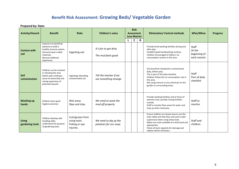# **Benefit Risk Assessment: Growing Beds/ Vegetable Garden**

| <b>Activity/Hazard</b>          | <b>Benefit</b>                                                                                                                                    | <b>Risks</b>                                                   | <b>Children's voice</b>                         |  | <b>Risk</b><br><b>Assessment</b> |   | (use Matrix)                                                                                                                                                                                                                                                           |                                                 | <b>Elimination/ Control methods</b> | Who/When | <b>Progress</b> |
|---------------------------------|---------------------------------------------------------------------------------------------------------------------------------------------------|----------------------------------------------------------------|-------------------------------------------------|--|----------------------------------|---|------------------------------------------------------------------------------------------------------------------------------------------------------------------------------------------------------------------------------------------------------------------------|-------------------------------------------------|-------------------------------------|----------|-----------------|
|                                 |                                                                                                                                                   |                                                                |                                                 |  | C                                | R |                                                                                                                                                                                                                                                                        |                                                 |                                     |          |                 |
| <b>Contact with</b><br>soil     | Exposure to beneficial<br>bacteria to build a<br>healthy immune system.<br>Sensorial open ended<br>materials.<br>Normal childhood<br>experience.  | Ingesting soil                                                 | It's fun to get dirty<br>The mud feels good     |  |                                  |   | Provide hand washing facilities during and<br>after play.<br>Establish good handwashing routines.<br>Children encouraged to follow a no<br>consumption routine in this area                                                                                            | Staff<br>At the<br>beginning of<br>each session |                                     |          |                 |
| <b>Soil</b><br>contamination    | Children can be involved<br>in checking the area<br>before play creating a<br>sense of ownership and<br>raising awareness of<br>potential hazards | Ingesting/absorbing<br>contaminated soil                       | Tell the teacher if we<br>see something strange |  |                                  |   | Soil should be checked for contaminants<br>daily, before play.<br>This is part of the daily checklist<br>Children follow the no consumption rule in<br>this area.<br>Not using manure or any chemicals on the<br>garden or surrounding areas.                          | Staff<br>Part of daily<br>checklist             |                                     |          |                 |
| <b>Washing up</b><br>hands      | Children learn good<br>hygiene practices                                                                                                          | Wet areas<br>Slips and trips                                   | We need to wash the<br>mud off properly         |  |                                  |   | Provide washing facilities and at times of<br>extreme mud, provide rinsing facilities<br>outside.<br>Staff to monitor floor areas for water and<br>mop up when necessary.                                                                                              | Staff to<br>monitor                             |                                     |          |                 |
| <b>Using</b><br>gardening tools | Children develop safe<br>handling skills;<br>understand the purpose<br>of gardening tools.                                                        | Cuts/grazes from<br>using tools.<br>Poking or eye<br>injuries. | We need to dig up the<br>potatoes for our soup. |  |                                  |   | Ensure children are shown how to use the<br>tools safely and that they only work under<br>supervision when using sharp tools.<br>Make sure tools available are child sized and<br>appropriate.<br>Check all tools regularly for damage and<br>replace where necessary. | Staff and<br>children                           |                                     |          |                 |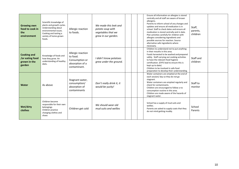| <b>Growing own</b><br>food to cook in<br>the<br>environment     | Scientific knowledge of<br>plants and growth cycles.<br>Understanding about<br>environmental issues.<br>Cooking and tasting a<br>variety of home-grown<br>foods. | Allergic reaction<br>to foods.                                                     | We made this leek and<br>potato soup with<br>vegetables that we<br>grew in our garden. |  | Ensure all information on allergies is stored<br>centrally and all staff are aware of known<br>allergens.<br>Parents to inform school of any changes and<br>updates and ensure all medication is in<br>school. Staff to check dates and ensure all<br>medication is stored centrally and in date.<br>Plan activities carefully for children with<br>allergies considering ingredients and<br>possible sources for reaction. Source<br>alternative safe ingredients where | Staff,<br>parents,<br>children |  |
|-----------------------------------------------------------------|------------------------------------------------------------------------------------------------------------------------------------------------------------------|------------------------------------------------------------------------------------|----------------------------------------------------------------------------------------|--|--------------------------------------------------------------------------------------------------------------------------------------------------------------------------------------------------------------------------------------------------------------------------------------------------------------------------------------------------------------------------------------------------------------------------------------------------------------------------|--------------------------------|--|
| <b>Cooking and</b><br>/or eating food<br>grown in the<br>garden | Knowledge of foods and<br>how they grow. An<br>understanding of healthy<br>diets.                                                                                | Allergic reaction<br>to food.<br>Consumption or<br>absorption of a<br>contaminant. | I didn't know potatoes<br>grew under the ground.                                       |  | necessary.<br>Children to understand not to put anything<br>in their mouths in this area.<br>Foods harvested to be washed and prepared<br>safely. Staff carrying out cooking activities<br>to have the relevant food hygiene<br>certification. (EYFS lead to ensure this is<br>kept up to date)<br>Children to be involved in safe food<br>preparation to develop their understanding.                                                                                   | Staff and<br>children          |  |
| Water                                                           | As above                                                                                                                                                         | Stagnant water,<br>consumption/<br>absorption of<br>contaminants                   | Don't really drink it, it<br>would be yucky!                                           |  | Water containers are emptied at the end of<br>each session/ day so they do not go<br>stagnant.<br>Water containers are emptied regularly and<br>check for contaminants.<br>Children are encouraged to follow a no<br>consumption routine in this area.<br>Children are made aware of the hazards of<br>stagnant water.                                                                                                                                                   | Staff to<br>monitor            |  |
| Wet/dirty<br>clothes                                            | Children become<br>responsible for their own<br>belongings<br>Children practice<br>changing clothes and<br>shoes                                                 | Children get cold                                                                  | We should wear old<br>mud suits and wellies                                            |  | School has a supply of mud suits and<br>wellies.<br>Parents are asked to supply coats that they<br>do not mind getting muddy.                                                                                                                                                                                                                                                                                                                                            | School<br>Parents              |  |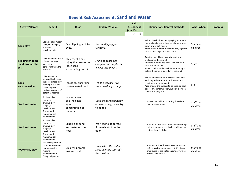# **Benefit Risk Assessment: Sand and Water**

| <b>Activity/Hazard</b>                             | <b>Benefit</b>                                                                                                                                       | <b>Risks</b>                                                                    | <b>Children's voice</b>                                                  | <b>Risk</b><br><b>Assessment</b> |             | <b>Elimination/ Control methods</b>                                                                                                                                                                                                             | Who/When              | <b>Progress</b> |
|----------------------------------------------------|------------------------------------------------------------------------------------------------------------------------------------------------------|---------------------------------------------------------------------------------|--------------------------------------------------------------------------|----------------------------------|-------------|-------------------------------------------------------------------------------------------------------------------------------------------------------------------------------------------------------------------------------------------------|-----------------------|-----------------|
|                                                    |                                                                                                                                                      |                                                                                 |                                                                          | (use Matrix)                     |             |                                                                                                                                                                                                                                                 |                       |                 |
| <b>Sand play</b>                                   | Sociable play, motor<br>skills, creative play,<br>language<br>development.                                                                           | Sand flipping up into<br>eyes.                                                  | We are digging for<br>treasure.                                          | $\mathsf{C}$                     | $\mathbf R$ | Talk to the children about playing together in<br>the sand and use the rhyme $-$ 'the sand stays<br>down low or out you go'<br>Monitor the number of children playing in the<br>sand pit and regulate if necessary.                             | Staff and<br>children |                 |
| <b>Slipping on loose</b><br>sand around the<br>pit | Children benefit from<br>playing in a large<br>sand pit and<br>connecting with the<br>material.                                                      | Children slip and<br>injury themselves on<br>loose sand<br>surrounding the pit. | I have to climb out<br>carefully and empty my<br>wellies into the pit.   |                                  |             | Adult to model how to empty sand from<br>wellies, into the sandpit.<br>Adults to monitor and clear the build-up of<br>sand around the pit.<br>Sweep sand from the walls into the sandpit<br>before the cover is placed over the sand.           | Staff                 |                 |
| Sand<br>contamination                              | Children can be<br>involved in checking<br>the area before play<br>creating a sense of<br>ownership and<br>raising awareness of<br>potential hazards | Ingesting/absorbing<br>contaminated sand                                        | Tell the teacher if we<br>see something strange                          |                                  |             | The cover needs to be in place at the end of<br>each day. Adults to remove the cover and<br>check for any contamination.<br>Area around the sandpit to be checked each<br>day for any contamination, rubbish blown in,<br>animal droppings etc. | Staff                 |                 |
| <b>Sand and water</b>                              | Sociable play,<br>motor skills,<br>creative play,<br>language<br>development.<br>Science and<br>mathematical<br>development.                         | Water or sand<br>splashed into<br>eyes,<br>consumption of<br>materials.         | Keep the sand down low<br>or away you go - we try<br>to do this          |                                  |             | Involve the children in setting the safety<br>rules in these areas.                                                                                                                                                                             | Staff and<br>children |                 |
| <b>Sand and water</b>                              | Sociable play,<br>motor skills,<br>creative play,<br>language<br>development.<br>Science and<br>mathematical<br>development.                         | Slipping on sand<br>and water on the<br>floor                                   | We need to be careful<br>if there is stuff on the<br>floor               |                                  |             | Staff to monitor these areas and encourage<br>children to spot and help clear spillages to<br>reduce the risk of slips.                                                                                                                         | Staff and<br>children |                 |
| Water tray play                                    | Science exploration<br>on water movement,<br>maths capacity,<br>motor skill<br>development in<br>filling and pouring.                                | Children become<br>wet and cold                                                 | I love when the water<br>spills over the top $-$ it's<br>like a volcano. |                                  |             | Staff to consider the temperature outside<br>before placing water trays out. If children<br>are playing at the water ensure cover-ups<br>are available to use.                                                                                  | Staff and<br>children |                 |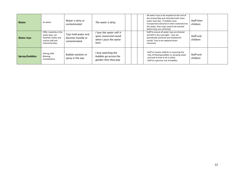| Water             | As above<br>Offer creativity in the                                              | Water is dirty or<br>contaminated                        | The water is dirty.<br>I love the water mill it                      | All water trays to be emptied at the end of<br>the session/day and refreshed with clean<br>Staff then<br>water each day. If children have<br>transported soil/sand or other materials into<br>children<br>the water, then trays need to be washed<br>before they are refreshed.<br>Staff to ensure all water toys are drained |  |
|-------------------|----------------------------------------------------------------------------------|----------------------------------------------------------|----------------------------------------------------------------------|-------------------------------------------------------------------------------------------------------------------------------------------------------------------------------------------------------------------------------------------------------------------------------------------------------------------------------|--|
| <b>Water toys</b> | water play, can<br>facilitate maths and<br>science talk and<br>interactive play. | Toys hold water and<br>become mouldy or<br>contaminated. | spins round and round<br>when I pour the water<br>here.              | and left to dry overnight - toys are<br>Staff and<br>periodically sterilized and checked for<br>children<br>mould. Toys to be replaced when<br>necessary.                                                                                                                                                                     |  |
| Sprays/bubbles    | Aiming skills.<br>Blowing.<br>Coordination.                                      | Bubble solution or<br>spray in the eye.                  | I love watching the<br>bubbles go across the<br>garden then they pop | Staff to involve children in assessing the<br>Staff and<br>risks of blowing bubbles or spraying water<br>and look at how to do it safely.<br>children<br>Staff to supervise use of bubbles.                                                                                                                                   |  |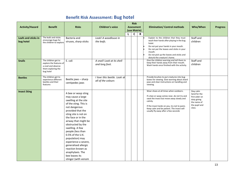# **Benefit Risk Assessment: Bug hotel**

|                                  |                                                                                                          |                                                                                                                                                                                                                                                                                                                                                                                                                                             |                                                   | <b>Risk</b>       |             |                                                                                                                                                                                                                                                                                    |                                                                                                      |                 |
|----------------------------------|----------------------------------------------------------------------------------------------------------|---------------------------------------------------------------------------------------------------------------------------------------------------------------------------------------------------------------------------------------------------------------------------------------------------------------------------------------------------------------------------------------------------------------------------------------------|---------------------------------------------------|-------------------|-------------|------------------------------------------------------------------------------------------------------------------------------------------------------------------------------------------------------------------------------------------------------------------------------------|------------------------------------------------------------------------------------------------------|-----------------|
| <b>Activity/Hazard</b>           | <b>Benefit</b>                                                                                           | <b>Risks</b>                                                                                                                                                                                                                                                                                                                                                                                                                                | <b>Children's voice</b>                           | <b>Assessment</b> |             | <b>Elimination/ Control methods</b>                                                                                                                                                                                                                                                | Who/When                                                                                             | <b>Progress</b> |
|                                  |                                                                                                          |                                                                                                                                                                                                                                                                                                                                                                                                                                             |                                                   | (use Matrix)      |             |                                                                                                                                                                                                                                                                                    |                                                                                                      |                 |
|                                  |                                                                                                          |                                                                                                                                                                                                                                                                                                                                                                                                                                             |                                                   | $\mathsf{C}$      | $\mathbf R$ |                                                                                                                                                                                                                                                                                    |                                                                                                      |                 |
| Leafs and sticks in<br>bug hotel | The leafs and sticks<br>encourage bugs for<br>the children to explore                                    | Bacteria and<br>viruses, sharp sticks                                                                                                                                                                                                                                                                                                                                                                                                       | Look! A woodlouse in<br>the leafs.                |                   |             | Explain to the children that they must<br>wash their hands after playing in the bug<br>hotel.<br>Do not put your hands in your mouth.<br>Do not put the leaves and sticks in your<br>mouth.<br>Do not pick up the leaves and sticks and<br>disturb the creature's home.            | Staff and<br>children                                                                                |                 |
| <b>Snails</b>                    | The children get to<br>explore the features of<br>a snail and observe<br>them exploring the<br>bug hotel | E. coli                                                                                                                                                                                                                                                                                                                                                                                                                                     | A snail! Look at its shell<br>and long foot.      |                   |             | Give the children warning and tell them to<br>keep their hands away from their mouth.<br>Wash hands once finished with the activity.                                                                                                                                               | Staff and<br>children                                                                                |                 |
| <b>Beetles</b>                   | The children get to<br>experience different<br>beetles and their<br>features                             | Beetle jaws - sharp<br>centipedes jaws                                                                                                                                                                                                                                                                                                                                                                                                      | I love this beetle. Look at<br>all of the colours |                   |             | Provide brushes to put creatures into bug<br>boxes for viewing. Give warning about shard<br>jaws and clear instructions on handling and<br>viewing.                                                                                                                                |                                                                                                      |                 |
| <b>Insect Sting</b>              |                                                                                                          | A bee or wasp sting<br>may cause a large<br>swelling at the site<br>of the sting. This is<br>not dangerous<br>provided that the<br>sting site is not on<br>the face or in the<br>airway that might be<br>obstructed by the<br>swelling. A few<br>people (less than<br>0.5% of the U.K.<br>population) may<br>experience a severe,<br>generalised allergic<br>reaction known as<br>anaphylaxis. The<br>bee leaves its<br>stinger (with venom |                                                   |                   |             | Wear shoes at all times when outdoors.<br>If a bee or wasp comes near, do not try and<br>swat the insect but move away slowly and<br>calmly.<br>If the insect lands on you, try not to panic.<br>Keep calm and be patient. The insect will<br>usually fly away after a few seconds | Stay calm<br>Send for the<br>first aider on<br>duty giving<br>the name of<br>the pupil and<br>class. |                 |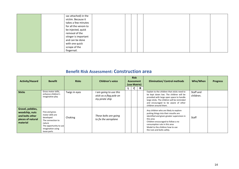| sac attached) in the |  |  |  |
|----------------------|--|--|--|
| victim. Because it   |  |  |  |
| takes a few minutes  |  |  |  |
| for all the venom to |  |  |  |
| be injected, quick   |  |  |  |
| removal of the       |  |  |  |
| stinger is important |  |  |  |
| and can be done      |  |  |  |
| with one quick       |  |  |  |
| scrape of the        |  |  |  |
| fingernail.          |  |  |  |

## **Benefit Risk Assessment: Construction area**

| <b>Activity/Hazard</b>                                                                 | <b>Benefit</b>                                                                                                                               | <b>Risks</b>  | <b>Children's voice</b>                                             | <b>Risk</b><br><b>Assessment</b><br>(use Matrix) |  |    | <b>Elimination/ Control methods</b>                                                                                                                                                                                                                                                 | Who/When               | <b>Progress</b> |
|----------------------------------------------------------------------------------------|----------------------------------------------------------------------------------------------------------------------------------------------|---------------|---------------------------------------------------------------------|--------------------------------------------------|--|----|-------------------------------------------------------------------------------------------------------------------------------------------------------------------------------------------------------------------------------------------------------------------------------------|------------------------|-----------------|
|                                                                                        |                                                                                                                                              |               |                                                                     |                                                  |  | R. |                                                                                                                                                                                                                                                                                     |                        |                 |
| <b>Sticks</b>                                                                          | Gross motor skills,<br>enhance children's<br>imaginative play                                                                                | Twigs in eyes | I am going to use this<br>stick as a flag pole on<br>my pirate ship |                                                  |  |    | Explain to the children that sticks need to<br>be kept down low. The children will be<br>provided with large open space to handle<br>large sticks. The children will be reminded<br>and encouraged to be aware of other<br>children around them.                                    | Staff and<br>children. |                 |
| Gravel, pebbles,<br>woodchip, nuts<br>and bolts other<br>pieces of natural<br>material | Fine and gross<br>motor skills are<br>developed<br>The connection to<br>nature<br>The opportunity to use<br>imagination using<br>loose parts | Choking       | These bolts are going<br>to fix the aeroplane                       |                                                  |  |    | Any children who are likely to explore<br>putting things into their mouths are<br>identified and given greater supervision in<br>this area<br>Children encouraged to follow a no<br>consumption rule in this area<br>Model to the children how to use<br>the nuts and bolts safely. | Staff                  |                 |